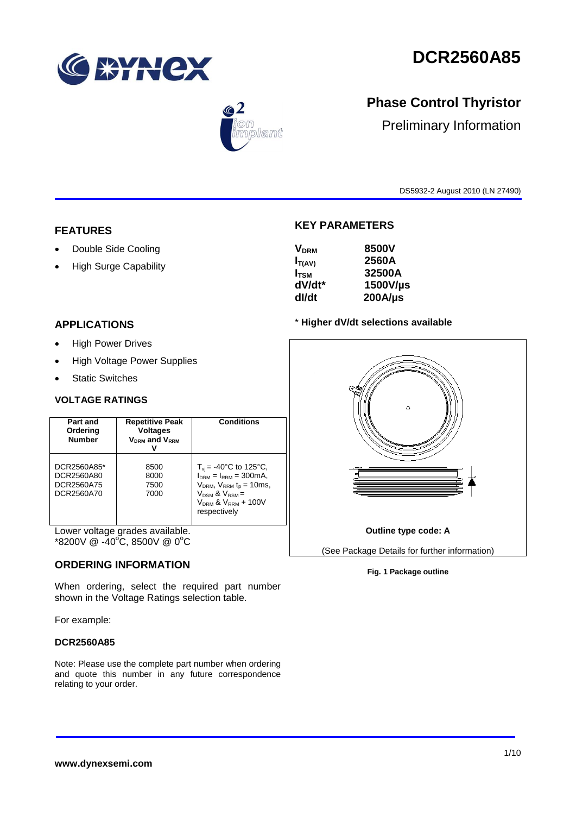

# **DCR2560A85**



## **Phase Control Thyristor**

Preliminary Information

DS5932-2 August 2010 (LN 27490)

#### **FEATURES**

- Double Side Cooling
- High Surge Capability

### **APPLICATIONS**

- High Power Drives
- High Voltage Power Supplies
- Static Switches

#### **VOLTAGE RATINGS**

| Part and<br>Ordering<br><b>Number</b>                 | <b>Repetitive Peak</b><br><b>Voltages</b><br>V <sub>DRM</sub> and V <sub>RRM</sub> | <b>Conditions</b>                                                                                                                                                             |
|-------------------------------------------------------|------------------------------------------------------------------------------------|-------------------------------------------------------------------------------------------------------------------------------------------------------------------------------|
| DCR2560A85*<br>DCR2560A80<br>DCR2560A75<br>DCR2560A70 | 8500<br>8000<br>7500<br>7000                                                       | $T_{\rm vi}$ = -40°C to 125°C,<br>$IDRM = IRRM = 300mA$ ,<br>$V_{DRM}$ , $V_{RRM}$ $t_{p}$ = 10ms,<br>$V_{DSM}$ & $V_{RSM}$ =<br>$V_{DRM}$ & $V_{RRM}$ + 100V<br>respectively |

Lower voltage grades available.  $*8200V \ @ \ -40^{\circ}\text{C}, 8500V \ @ \ 0^{\circ}\text{C}$ 

#### **ORDERING INFORMATION**

When ordering, select the required part number shown in the Voltage Ratings selection table.

For example:

#### **DCR2560A85**

Note: Please use the complete part number when ordering and quote this number in any future correspondence relating to your order.

#### **KEY PARAMETERS**

| 8500V        |
|--------------|
| 2560A        |
| 32500A       |
| 1500V/us     |
| $200A/\mu s$ |
|              |

#### \* **Higher dV/dt selections available**



#### **Fig. 1 Package outline**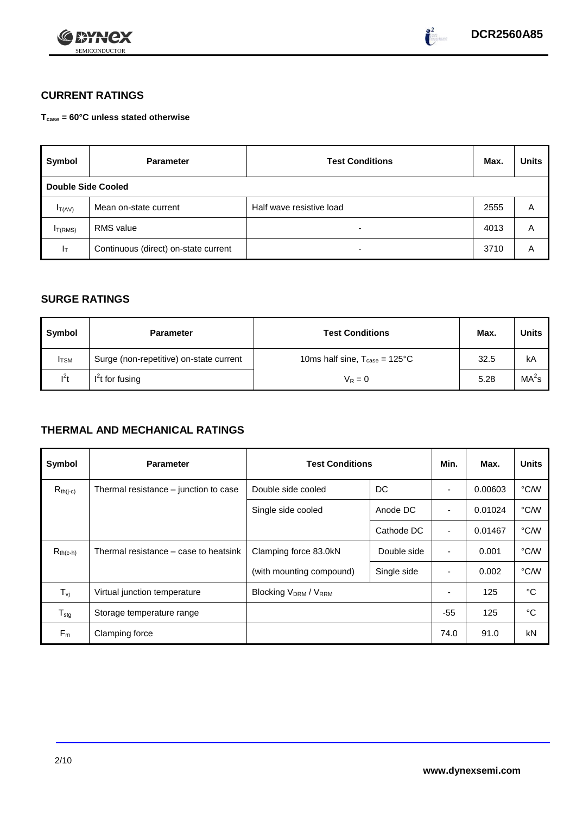



## **CURRENT RATINGS**

**Tcase = 60°C unless stated otherwise**

| Symbol              | <b>Parameter</b>                     | <b>Test Conditions</b>   | Max. | <b>Units</b> |
|---------------------|--------------------------------------|--------------------------|------|--------------|
| Double Side Cooled  |                                      |                          |      |              |
| $I_{T(AV)}$         | Mean on-state current                | Half wave resistive load | 2555 | A            |
| I <sub>T(RMS)</sub> | <b>RMS</b> value                     | -                        | 4013 | A            |
| Iτ                  | Continuous (direct) on-state current | $\overline{\phantom{0}}$ | 3710 | Α            |

#### **SURGE RATINGS**

| Symbol       | <b>Parameter</b>                        | <b>Test Conditions</b>                            | Max. | Units             |
|--------------|-----------------------------------------|---------------------------------------------------|------|-------------------|
| <b>I</b> TSM | Surge (non-repetitive) on-state current | 10ms half sine, $T_{\text{case}} = 125^{\circ}$ C | 32.5 | kA                |
| $I^2t$       | $I2t$ for fusing                        | $V_R = 0$                                         | 5.28 | MA <sup>2</sup> s |

## **THERMAL AND MECHANICAL RATINGS**

| Symbol           | <b>Parameter</b>                      | <b>Test Conditions</b>               | Min.        | Max.                     | <b>Units</b> |      |
|------------------|---------------------------------------|--------------------------------------|-------------|--------------------------|--------------|------|
| $R_{th(j-c)}$    | Thermal resistance – junction to case | Double side cooled<br>DC             |             |                          | 0.00603      | °C/W |
|                  |                                       | Single side cooled                   | Anode DC    |                          | 0.01024      | °C/W |
|                  |                                       |                                      | Cathode DC  | $\overline{\phantom{a}}$ | 0.01467      | °C/W |
| $R_{th(c-h)}$    | Thermal resistance – case to heatsink | Double side<br>Clamping force 83.0kN |             | $\blacksquare$           | 0.001        | °C/W |
|                  |                                       | (with mounting compound)             | Single side |                          | 0.002        | °C/W |
| $T_{\rm vj}$     | Virtual junction temperature          | <b>Blocking VDRM / VRRM</b>          |             |                          | 125          | °C   |
| $T_{\text{stg}}$ | Storage temperature range             |                                      |             | $-55$                    | 125          | °C   |
| $F_m$            | Clamping force                        |                                      |             | 74.0                     | 91.0         | kN   |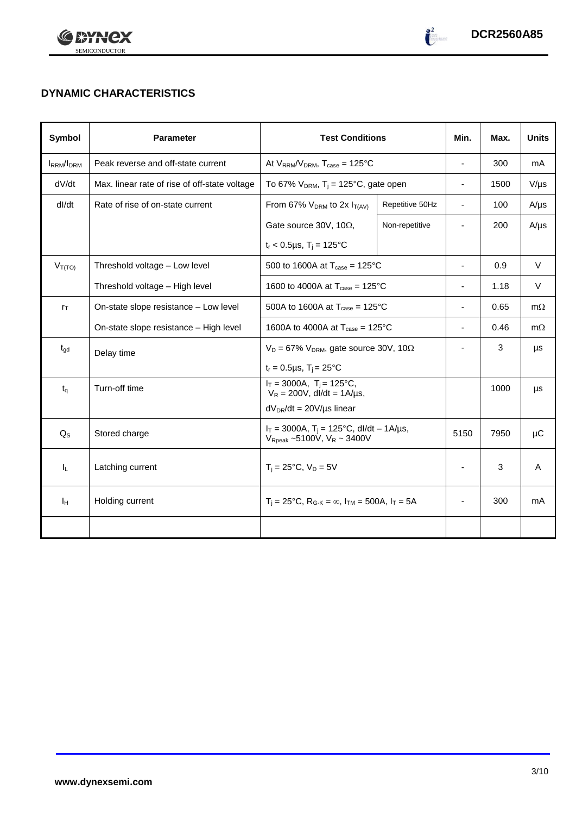



## **DYNAMIC CHARACTERISTICS**

| Symbol            | <b>Parameter</b>                              | <b>Test Conditions</b>                                                                                     |                 | Min.                     | Max. | <b>Units</b> |
|-------------------|-----------------------------------------------|------------------------------------------------------------------------------------------------------------|-----------------|--------------------------|------|--------------|
| <b>IRRM</b> /IDRM | Peak reverse and off-state current            | At $V_{RRM}/V_{DRM}$ , $T_{case} = 125^{\circ}C$                                                           |                 | $\overline{\phantom{a}}$ | 300  | mA           |
| dV/dt             | Max. linear rate of rise of off-state voltage | To 67% $V_{DRM}$ , T <sub>j</sub> = 125°C, gate open                                                       |                 | ۰                        | 1500 | $V/\mu s$    |
| dl/dt             | Rate of rise of on-state current              | From 67% $V_{DRM}$ to 2x $I_{T(AV)}$                                                                       | Repetitive 50Hz | ÷,                       | 100  | $A/\mu s$    |
|                   |                                               | Gate source 30V, 10 $\Omega$ ,                                                                             | Non-repetitive  | ÷,                       | 200  | $A/\mu s$    |
|                   |                                               | $t_r$ < 0.5µs, T <sub>i</sub> = 125°C                                                                      |                 |                          |      |              |
| $V_{T(TO)}$       | Threshold voltage - Low level                 | 500 to 1600A at $T_{\text{case}} = 125^{\circ}C$                                                           |                 | $\overline{\phantom{a}}$ | 0.9  | V            |
|                   | Threshold voltage - High level                | 1600 to 4000A at $T_{\text{case}} = 125^{\circ} \text{C}$                                                  |                 | ÷,                       | 1.18 | $\vee$       |
| $r_{\text{T}}$    | On-state slope resistance - Low level         | 500A to 1600A at $T_{\text{case}} = 125^{\circ}C$                                                          |                 |                          | 0.65 | $m\Omega$    |
|                   | On-state slope resistance - High level        | 1600A to 4000A at $T_{\text{case}} = 125^{\circ}$ C                                                        |                 |                          | 0.46 | $m\Omega$    |
| $t_{\text{qd}}$   | Delay time                                    | $V_D = 67\%$ V <sub>DRM</sub> , gate source 30V, 10 $\Omega$                                               |                 | ٠                        | 3    | μs           |
|                   |                                               | $t_r = 0.5 \mu s$ , T <sub>i</sub> = 25°C                                                                  |                 |                          |      |              |
| $t_{\alpha}$      | Turn-off time                                 | $I_T = 3000A$ , $T_i = 125^{\circ}C$ ,<br>$V_R = 200V$ , dl/dt = 1A/µs,                                    |                 |                          | 1000 | μs           |
|                   |                                               | $dV_{DR}/dt = 20V/\mu s$ linear                                                                            |                 |                          |      |              |
| $Q_S$             | Stored charge                                 | $I_T = 3000A$ , $T_i = 125^{\circ}C$ , dl/dt - 1A/µs,<br>$V_{\text{Rpeak}}$ ~5100V, $V_{\text{R}}$ ~ 3400V |                 | 5150                     | 7950 | μC           |
| $I_L$             | Latching current                              | $T_i = 25^{\circ}C$ , $V_D = 5V$                                                                           |                 | $\overline{\phantom{0}}$ | 3    | A            |
| Īн                | Holding current                               | $T_i = 25^{\circ}C$ , $R_{G-K} = \infty$ , $I_{TM} = 500A$ , $I_T = 5A$                                    |                 |                          | 300  | mA           |
|                   |                                               |                                                                                                            |                 |                          |      |              |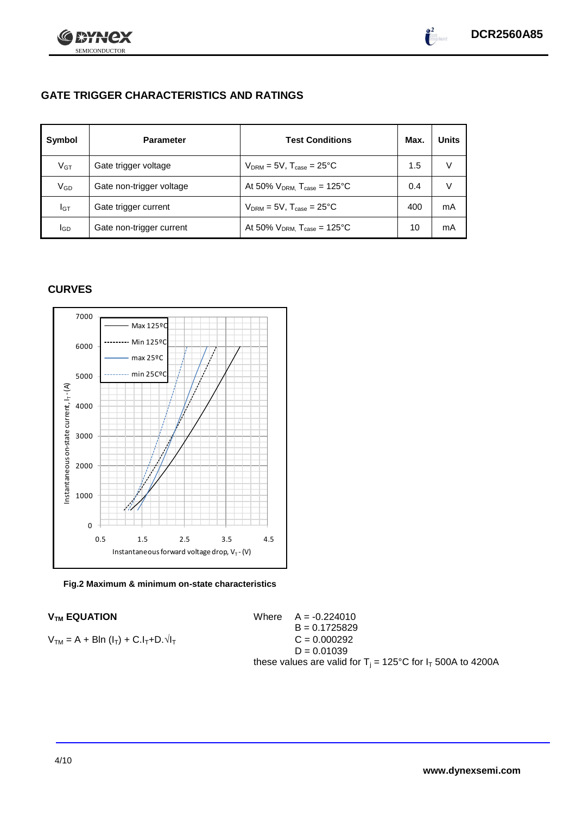



### **GATE TRIGGER CHARACTERISTICS AND RATINGS**

| Symbol          | <b>Parameter</b>         | <b>Test Conditions</b>                       | Max. | <b>Units</b> |
|-----------------|--------------------------|----------------------------------------------|------|--------------|
| V <sub>GT</sub> | Gate trigger voltage     | $V_{DRM} = 5V$ , $T_{case} = 25^{\circ}C$    | 1.5  | V            |
| $\rm V_{GD}$    | Gate non-trigger voltage | At 50% $V_{DRM}$ , $T_{case} = 125^{\circ}C$ | 0.4  | V            |
| Iст             | Gate trigger current     | $V_{DRM} = 5V$ , $T_{case} = 25^{\circ}C$    | 400  | mA           |
| IGD             | Gate non-trigger current | At 50% $V_{DRM}$ , $T_{case} = 125^{\circ}C$ | 10   | mA           |

#### **CURVES**



**Fig.2 Maximum & minimum on-state characteristics**

**V<sub>TM</sub> EQUATION** 

Where 
$$
A = -0.224010
$$

\n $B = 0.1725829$ 

\n $C = 0.000292$ 

\n $D = 0.01039$ 

\nthese values are valid for  $T_j = 125^\circ \text{C}$  for  $I_T$  500A to 4200A

 $V_{TM} = A + BIn (I_T) + C.I_T + D.\sqrt{I_T}$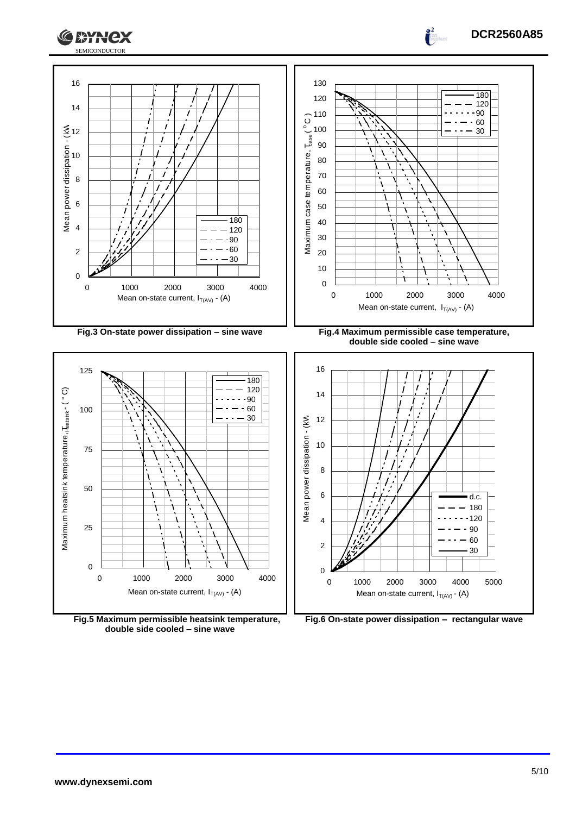





**double side cooled – sine wave**



 1000 2000 3000 4000 5000 Mean on-state current,  $I_{T(A \vee)}$  - (A)

**DCR2560A85**

 $\int_0^2$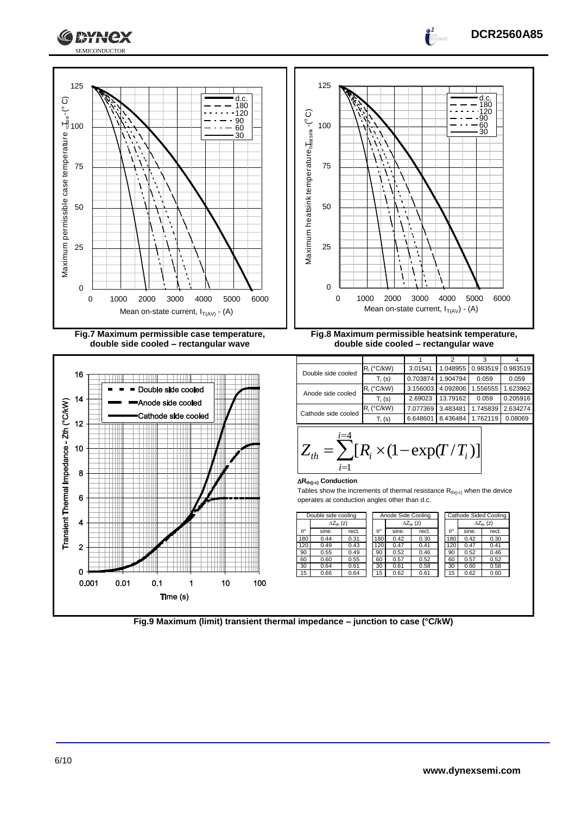



|                  | Double side cooling |       | Anode Side Cooling |                     |       |                  |       | Cathode Sided Cooling |  |  |  |                     |
|------------------|---------------------|-------|--------------------|---------------------|-------|------------------|-------|-----------------------|--|--|--|---------------------|
|                  | $\Delta Z_{th}$ (z) |       |                    | $\Delta Z_{th}$ (z) |       |                  |       |                       |  |  |  | $\Delta Z_{th}$ (z) |
| $\theta^{\circ}$ | sine.               | rect. | $\theta^{\circ}$   | sine.               | rect. | $\theta^{\circ}$ | sine. | rect.                 |  |  |  |                     |
| 180              | 0.44                | 0.31  | 180                | 0.42                | 0.30  | 180              | 0.42  | 0.30                  |  |  |  |                     |
| 120              | 0.49                | 0.43  | 120                | 0.47                | 0.41  | 120              | 0.47  | 0.41                  |  |  |  |                     |
| 90               | 0.55                | 0.49  | 90                 | 0.52                | 0.46  | 90               | 0.52  | 0.46                  |  |  |  |                     |
| 60               | 0.60                | 0.55  | 60                 | 0.57                | 0.52  | 60               | 0.57  | 0.52                  |  |  |  |                     |
| 30               | 0.64                | 0.61  | 30                 | 0.61                | 0.58  | 30               | 0.60  | 0.58                  |  |  |  |                     |
| 15               | 0.66                | 0.64  | 15                 | 0.62                | 0.61  | 15               | 0.62  | 0.60                  |  |  |  |                     |
|                  |                     |       |                    |                     |       |                  |       |                       |  |  |  |                     |



**DCR2560A85**

 $\overline{a}$ 

 $\overline{2}$ 

 $\Omega$  $0.001$ 

 $0.1$ 

 $\mathbf{1}$ 

Time (s)

10

100

 $0.01$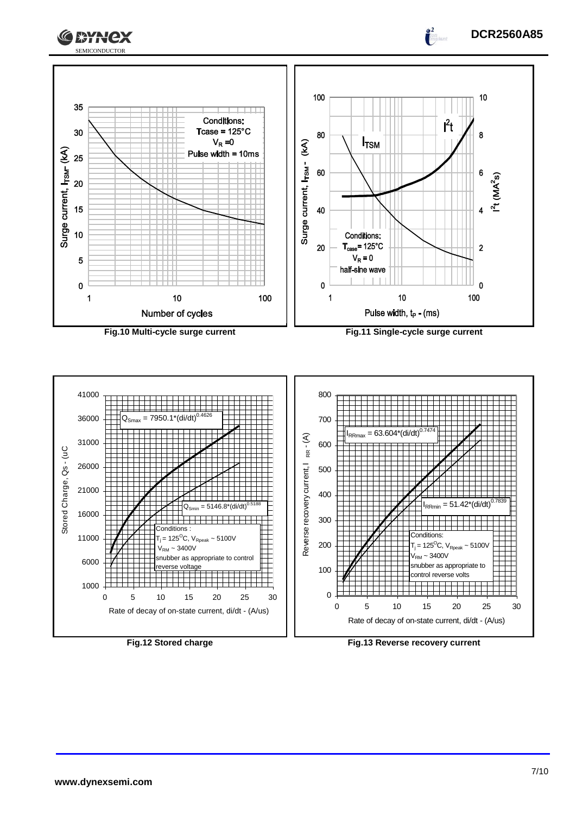





**DCR2560A85**

 $\frac{2}{\pi}$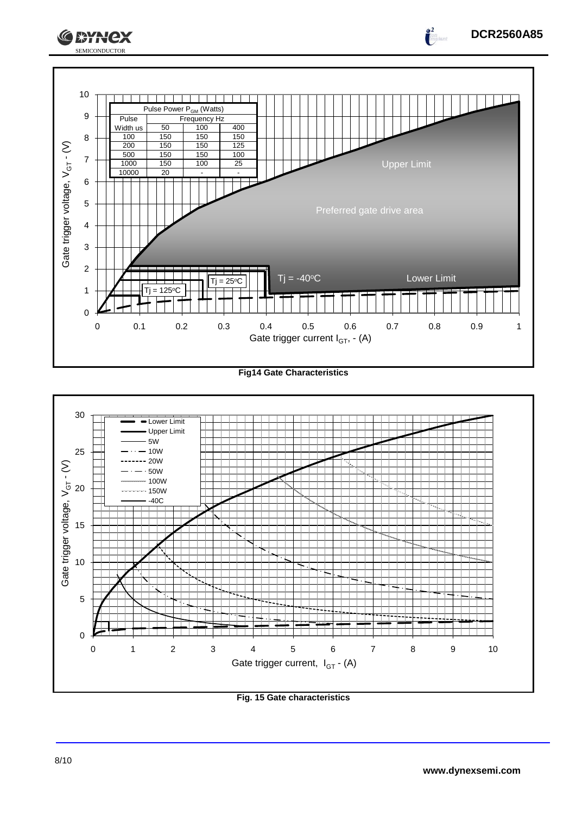

**Fig14 Gate Characteristics**



**Fig. 15 Gate characteristics**

**DCR2560A85**

 $\int_0^2$ 

**CEYNEX**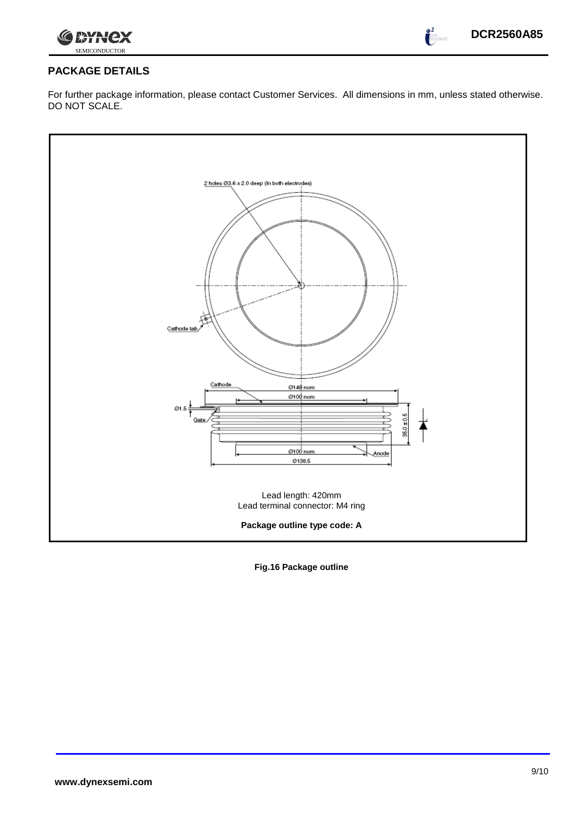

 $\frac{2}{\sqrt{2}}$ 

#### **PACKAGE DETAILS**

For further package information, please contact Customer Services. All dimensions in mm, unless stated otherwise. DO NOT SCALE.



**Fig.16 Package outline**